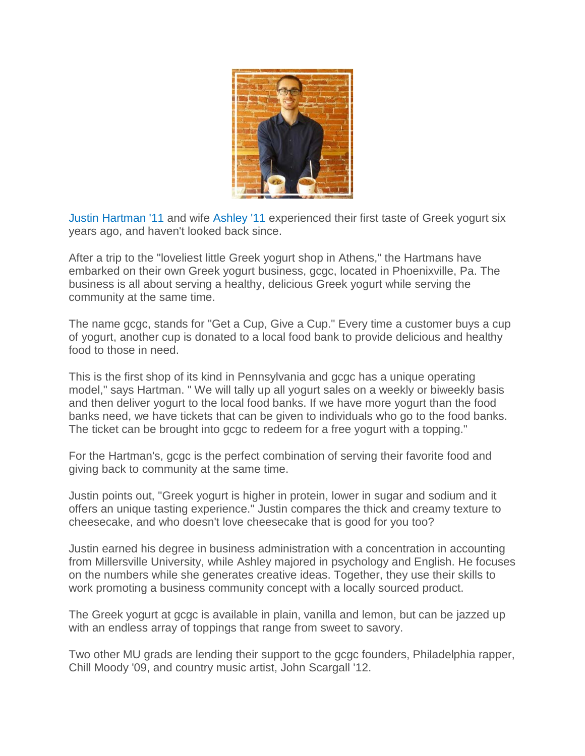

Justin Hartman '11 and wife Ashley '11 experienced their first taste of Greek yogurt six years ago, and haven't looked back since.

After a trip to the "loveliest little Greek yogurt shop in Athens," the Hartmans have embarked on their own Greek yogurt business, gcgc, located in Phoenixville, Pa. The business is all about serving a healthy, delicious Greek yogurt while serving the community at the same time.

The name gcgc, stands for "Get a Cup, Give a Cup." Every time a customer buys a cup of yogurt, another cup is donated to a local food bank to provide delicious and healthy food to those in need.

This is the first shop of its kind in Pennsylvania and gcgc has a unique operating model," says Hartman. " We will tally up all yogurt sales on a weekly or biweekly basis and then deliver yogurt to the local food banks. If we have more yogurt than the food banks need, we have tickets that can be given to individuals who go to the food banks. The ticket can be brought into gcgc to redeem for a free yogurt with a topping."

For the Hartman's, gcgc is the perfect combination of serving their favorite food and giving back to community at the same time.

Justin points out, "Greek yogurt is higher in protein, lower in sugar and sodium and it offers an unique tasting experience." Justin compares the thick and creamy texture to cheesecake, and who doesn't love cheesecake that is good for you too?

Justin earned his degree in business administration with a concentration in accounting from Millersville University, while Ashley majored in psychology and English. He focuses on the numbers while she generates creative ideas. Together, they use their skills to work promoting a business community concept with a locally sourced product.

The Greek yogurt at gcgc is available in plain, vanilla and lemon, but can be jazzed up with an endless array of toppings that range from sweet to savory.

Two other MU grads are lending their support to the gcgc founders, Philadelphia rapper, Chill Moody '09, and country music artist, John Scargall '12.